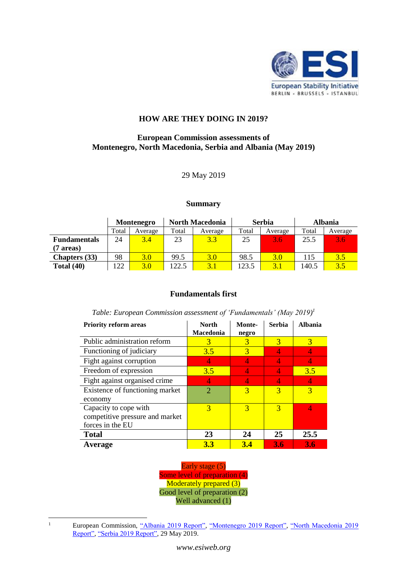

# **HOW ARE THEY DOING IN 2019?**

## **European Commission assessments of Montenegro, North Macedonia, Serbia and Albania (May 2019)**

### 29 May 2019

#### **Summary**

|                      | <b>Montenegro</b> |         | <b>North Macedonia</b> |         | <b>Serbia</b> |         | <b>Albania</b> |         |
|----------------------|-------------------|---------|------------------------|---------|---------------|---------|----------------|---------|
|                      | Total             | Average | Total                  | Average | Total         | Average | Total          | Average |
| <b>Fundamentals</b>  | 24                | 3.4     | 23                     | 3.3     | 25            | 3.6     | 25.5           | 3.6     |
| (7 areas)            |                   |         |                        |         |               |         |                |         |
| <b>Chapters</b> (33) | 98                | 3.0     | 99.5                   | 3.0     | 98.5          | 3.0     | 115            | 3.5     |
| Total $(40)$         | 122               | 3.0     | 122.5                  | 3.1     | 123.5         | 3.1     | 140.5          | 3.5     |

### **Fundamentals first**

*Table: European Commission assessment of 'Fundamentals' (May 2019) 1*

| <b>Priority reform areas</b>    | <b>North</b><br>Macedonia   | Monte-<br>negro | <b>Serbia</b> | <b>Albania</b> |
|---------------------------------|-----------------------------|-----------------|---------------|----------------|
| Public administration reform    | 3                           | 3               | 3             | 3              |
| Functioning of judiciary        | 3.5                         | 3               | 4             | 4              |
| Fight against corruption        | 4                           | 4               | 4             | 4              |
| Freedom of expression           | 3.5                         | 4               |               | 3.5            |
| Fight against organised crime   | 4                           | Ι4              | 4             | $\overline{4}$ |
| Existence of functioning market | $\mathcal{D}_{\mathcal{A}}$ | 3               | 3             | 3              |
| economy                         |                             |                 |               |                |
| Capacity to cope with           | 3                           | 3               | 3             | 4              |
| competitive pressure and market |                             |                 |               |                |
| forces in the EU                |                             |                 |               |                |
| <b>Total</b>                    | 23                          | 24              | 25            | 25.5           |
| Average                         | <b>3.3</b>                  | 3.4             | 3.6           | 3.6            |

Early stage (5) Some level of preparation (4) Moderately prepared (3) Good level of preparation (2) Well advanced (1)

 $\overline{a}$ 

<sup>&</sup>lt;sup>1</sup> European Commission, ["Albania 2019 Report",](https://ec.europa.eu/neighbourhood-enlargement/sites/near/files/20190529-albania-report.pdf) ["Montenegro 2019](https://ec.europa.eu/neighbourhood-enlargement/sites/near/files/20190529-montenegro-report.pdf) Report", "North Macedonia 2019 [Report",](https://ec.europa.eu/neighbourhood-enlargement/sites/near/files/20190529-north-macedonia-report.pdf) ["Serbia 2019 Report",](https://ec.europa.eu/neighbourhood-enlargement/sites/near/files/20190529-serbia-report.pdf) 29 May 2019.